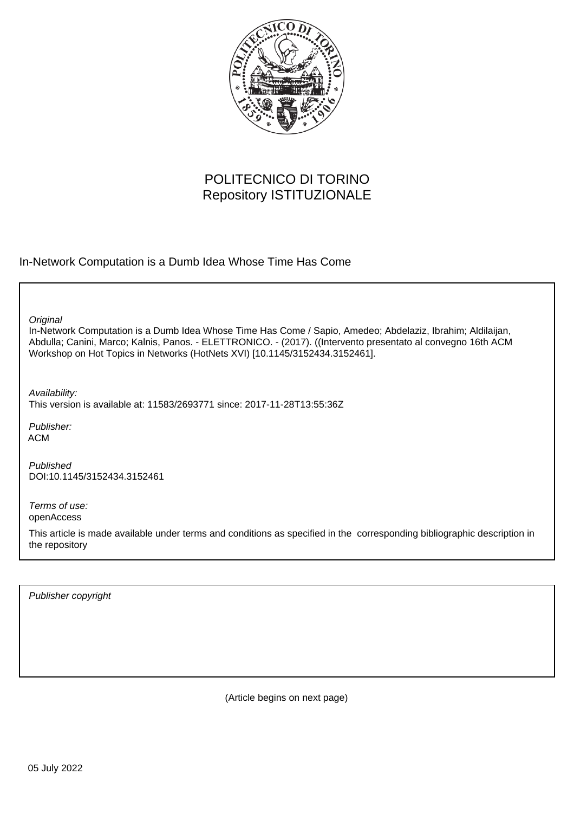

# POLITECNICO DI TORINO Repository ISTITUZIONALE

In-Network Computation is a Dumb Idea Whose Time Has Come

**Original** 

In-Network Computation is a Dumb Idea Whose Time Has Come / Sapio, Amedeo; Abdelaziz, Ibrahim; Aldilaijan, Abdulla; Canini, Marco; Kalnis, Panos. - ELETTRONICO. - (2017). ((Intervento presentato al convegno 16th ACM Workshop on Hot Topics in Networks (HotNets XVI) [10.1145/3152434.3152461].

Availability: This version is available at: 11583/2693771 since: 2017-11-28T13:55:36Z

Publisher: ACM

Published DOI:10.1145/3152434.3152461

Terms of use: openAccess

This article is made available under terms and conditions as specified in the corresponding bibliographic description in the repository

Publisher copyright

(Article begins on next page)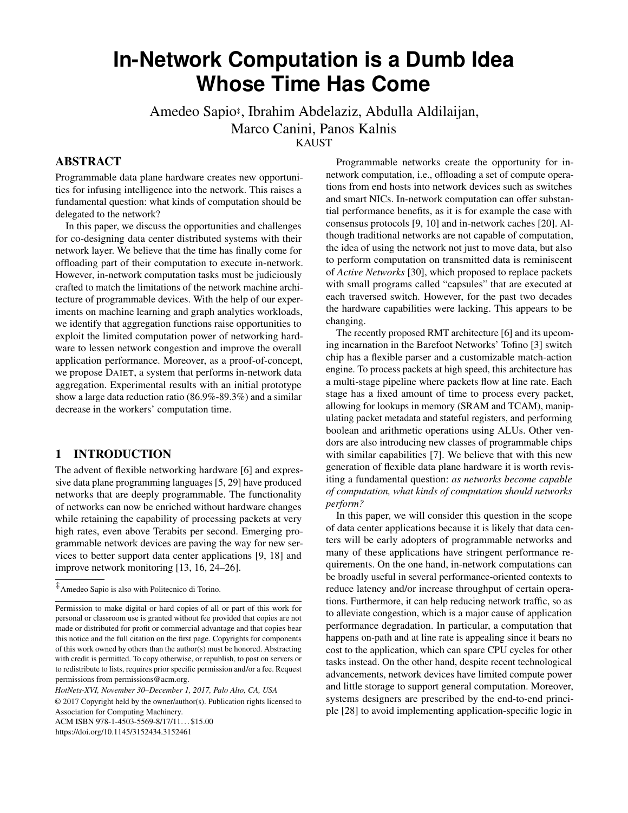# **In-Network Computation is a Dumb Idea Whose Time Has Come**

Amedeo Sapio‡ , Ibrahim Abdelaziz, Abdulla Aldilaijan, Marco Canini, Panos Kalnis KAUST

## ABSTRACT

Programmable data plane hardware creates new opportunities for infusing intelligence into the network. This raises a fundamental question: what kinds of computation should be delegated to the network?

In this paper, we discuss the opportunities and challenges for co-designing data center distributed systems with their network layer. We believe that the time has finally come for offloading part of their computation to execute in-network. However, in-network computation tasks must be judiciously crafted to match the limitations of the network machine architecture of programmable devices. With the help of our experiments on machine learning and graph analytics workloads, we identify that aggregation functions raise opportunities to exploit the limited computation power of networking hardware to lessen network congestion and improve the overall application performance. Moreover, as a proof-of-concept, we propose DAIET, a system that performs in-network data aggregation. Experimental results with an initial prototype show a large data reduction ratio (86.9%-89.3%) and a similar decrease in the workers' computation time.

# 1 INTRODUCTION

The advent of flexible networking hardware [6] and expressive data plane programming languages [5, 29] have produced networks that are deeply programmable. The functionality of networks can now be enriched without hardware changes while retaining the capability of processing packets at very high rates, even above Terabits per second. Emerging programmable network devices are paving the way for new services to better support data center applications [9, 18] and improve network monitoring [13, 16, 24–26].

© 2017 Copyright held by the owner/author(s). Publication rights licensed to Association for Computing Machinery.

ACM ISBN 978-1-4503-5569-8/17/11...\$15.00

<https://doi.org/10.1145/3152434.3152461>

Programmable networks create the opportunity for innetwork computation, i.e., offloading a set of compute operations from end hosts into network devices such as switches and smart NICs. In-network computation can offer substantial performance benefits, as it is for example the case with consensus protocols [9, 10] and in-network caches [20]. Although traditional networks are not capable of computation, the idea of using the network not just to move data, but also to perform computation on transmitted data is reminiscent of *Active Networks* [30], which proposed to replace packets with small programs called "capsules" that are executed at each traversed switch. However, for the past two decades the hardware capabilities were lacking. This appears to be changing.

The recently proposed RMT architecture [6] and its upcoming incarnation in the Barefoot Networks' Tofino [3] switch chip has a flexible parser and a customizable match-action engine. To process packets at high speed, this architecture has a multi-stage pipeline where packets flow at line rate. Each stage has a fixed amount of time to process every packet, allowing for lookups in memory (SRAM and TCAM), manipulating packet metadata and stateful registers, and performing boolean and arithmetic operations using ALUs. Other vendors are also introducing new classes of programmable chips with similar capabilities [7]. We believe that with this new generation of flexible data plane hardware it is worth revisiting a fundamental question: *as networks become capable of computation, what kinds of computation should networks perform?*

In this paper, we will consider this question in the scope of data center applications because it is likely that data centers will be early adopters of programmable networks and many of these applications have stringent performance requirements. On the one hand, in-network computations can be broadly useful in several performance-oriented contexts to reduce latency and/or increase throughput of certain operations. Furthermore, it can help reducing network traffic, so as to alleviate congestion, which is a major cause of application performance degradation. In particular, a computation that happens on-path and at line rate is appealing since it bears no cost to the application, which can spare CPU cycles for other tasks instead. On the other hand, despite recent technological advancements, network devices have limited compute power and little storage to support general computation. Moreover, systems designers are prescribed by the end-to-end principle [28] to avoid implementing application-specific logic in

<sup>‡</sup>Amedeo Sapio is also with Politecnico di Torino.

Permission to make digital or hard copies of all or part of this work for personal or classroom use is granted without fee provided that copies are not made or distributed for profit or commercial advantage and that copies bear this notice and the full citation on the first page. Copyrights for components of this work owned by others than the author(s) must be honored. Abstracting with credit is permitted. To copy otherwise, or republish, to post on servers or to redistribute to lists, requires prior specific permission and/or a fee. Request permissions from permissions@acm.org.

*HotNets-XVI, November 30–December 1, 2017, Palo Alto, CA, USA*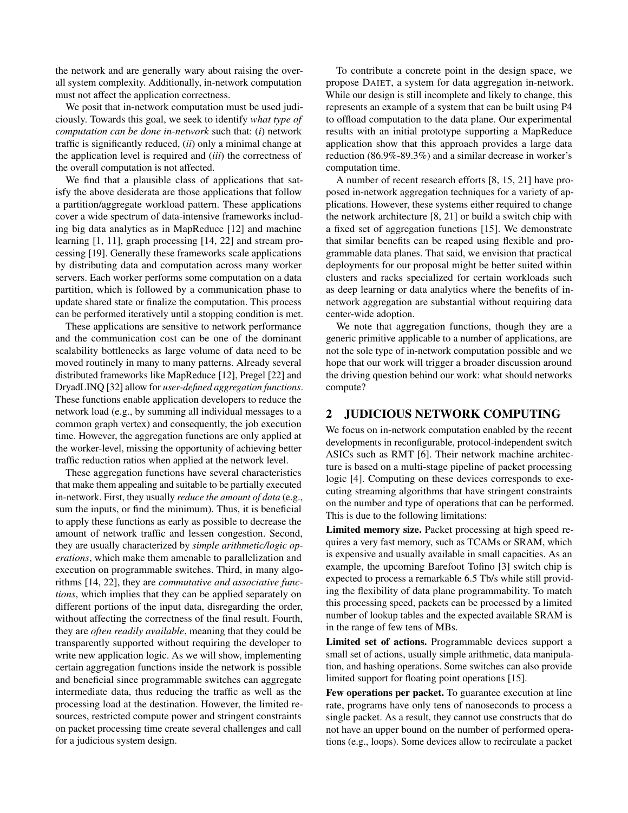the network and are generally wary about raising the overall system complexity. Additionally, in-network computation must not affect the application correctness.

We posit that in-network computation must be used judiciously. Towards this goal, we seek to identify *what type of computation can be done in-network* such that: (*i*) network traffic is significantly reduced, (*ii*) only a minimal change at the application level is required and (*iii*) the correctness of the overall computation is not affected.

We find that a plausible class of applications that satisfy the above desiderata are those applications that follow a partition/aggregate workload pattern. These applications cover a wide spectrum of data-intensive frameworks including big data analytics as in MapReduce [12] and machine learning [1, 11], graph processing [14, 22] and stream processing [19]. Generally these frameworks scale applications by distributing data and computation across many worker servers. Each worker performs some computation on a data partition, which is followed by a communication phase to update shared state or finalize the computation. This process can be performed iteratively until a stopping condition is met.

These applications are sensitive to network performance and the communication cost can be one of the dominant scalability bottlenecks as large volume of data need to be moved routinely in many to many patterns. Already several distributed frameworks like MapReduce [12], Pregel [22] and DryadLINQ [32] allow for *user-defined aggregation functions*. These functions enable application developers to reduce the network load (e.g., by summing all individual messages to a common graph vertex) and consequently, the job execution time. However, the aggregation functions are only applied at the worker-level, missing the opportunity of achieving better traffic reduction ratios when applied at the network level.

These aggregation functions have several characteristics that make them appealing and suitable to be partially executed in-network. First, they usually *reduce the amount of data* (e.g., sum the inputs, or find the minimum). Thus, it is beneficial to apply these functions as early as possible to decrease the amount of network traffic and lessen congestion. Second, they are usually characterized by *simple arithmetic/logic operations*, which make them amenable to parallelization and execution on programmable switches. Third, in many algorithms [14, 22], they are *commutative and associative functions*, which implies that they can be applied separately on different portions of the input data, disregarding the order, without affecting the correctness of the final result. Fourth, they are *often readily available*, meaning that they could be transparently supported without requiring the developer to write new application logic. As we will show, implementing certain aggregation functions inside the network is possible and beneficial since programmable switches can aggregate intermediate data, thus reducing the traffic as well as the processing load at the destination. However, the limited resources, restricted compute power and stringent constraints on packet processing time create several challenges and call for a judicious system design.

To contribute a concrete point in the design space, we propose DAIET, a system for data aggregation in-network. While our design is still incomplete and likely to change, this represents an example of a system that can be built using P4 to offload computation to the data plane. Our experimental results with an initial prototype supporting a MapReduce application show that this approach provides a large data reduction (86.9%-89.3%) and a similar decrease in worker's computation time.

A number of recent research efforts [8, 15, 21] have proposed in-network aggregation techniques for a variety of applications. However, these systems either required to change the network architecture [8, 21] or build a switch chip with a fixed set of aggregation functions [15]. We demonstrate that similar benefits can be reaped using flexible and programmable data planes. That said, we envision that practical deployments for our proposal might be better suited within clusters and racks specialized for certain workloads such as deep learning or data analytics where the benefits of innetwork aggregation are substantial without requiring data center-wide adoption.

We note that aggregation functions, though they are a generic primitive applicable to a number of applications, are not the sole type of in-network computation possible and we hope that our work will trigger a broader discussion around the driving question behind our work: what should networks compute?

## 2 JUDICIOUS NETWORK COMPUTING

We focus on in-network computation enabled by the recent developments in reconfigurable, protocol-independent switch ASICs such as RMT [6]. Their network machine architecture is based on a multi-stage pipeline of packet processing logic [4]. Computing on these devices corresponds to executing streaming algorithms that have stringent constraints on the number and type of operations that can be performed. This is due to the following limitations:

Limited memory size. Packet processing at high speed requires a very fast memory, such as TCAMs or SRAM, which is expensive and usually available in small capacities. As an example, the upcoming Barefoot Tofino [3] switch chip is expected to process a remarkable 6.5 Tb/s while still providing the flexibility of data plane programmability. To match this processing speed, packets can be processed by a limited number of lookup tables and the expected available SRAM is in the range of few tens of MBs.

Limited set of actions. Programmable devices support a small set of actions, usually simple arithmetic, data manipulation, and hashing operations. Some switches can also provide limited support for floating point operations [15].

Few operations per packet. To guarantee execution at line rate, programs have only tens of nanoseconds to process a single packet. As a result, they cannot use constructs that do not have an upper bound on the number of performed operations (e.g., loops). Some devices allow to recirculate a packet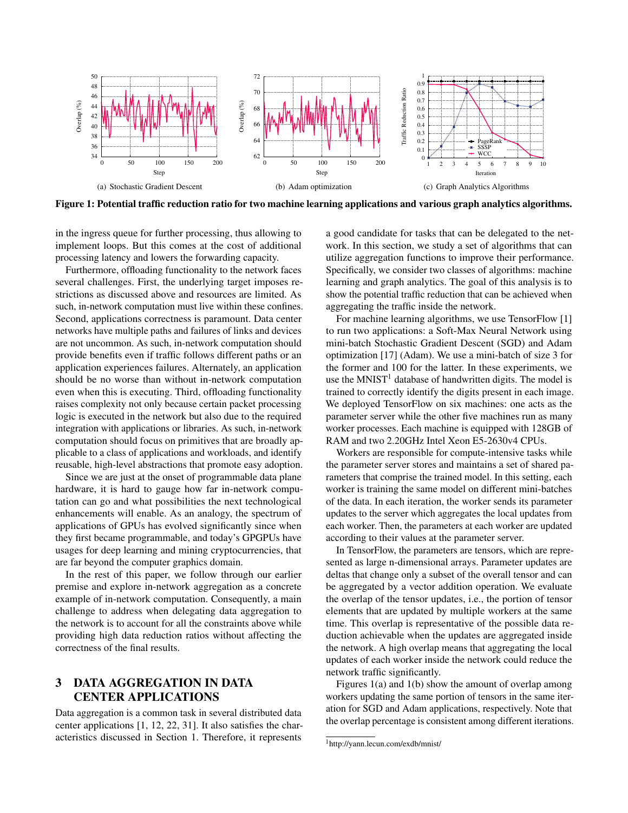

Figure 1: Potential traffic reduction ratio for two machine learning applications and various graph analytics algorithms.

in the ingress queue for further processing, thus allowing to implement loops. But this comes at the cost of additional processing latency and lowers the forwarding capacity.

Furthermore, offloading functionality to the network faces several challenges. First, the underlying target imposes restrictions as discussed above and resources are limited. As such, in-network computation must live within these confines. Second, applications correctness is paramount. Data center networks have multiple paths and failures of links and devices are not uncommon. As such, in-network computation should provide benefits even if traffic follows different paths or an application experiences failures. Alternately, an application should be no worse than without in-network computation even when this is executing. Third, offloading functionality raises complexity not only because certain packet processing logic is executed in the network but also due to the required integration with applications or libraries. As such, in-network computation should focus on primitives that are broadly applicable to a class of applications and workloads, and identify reusable, high-level abstractions that promote easy adoption.

Since we are just at the onset of programmable data plane hardware, it is hard to gauge how far in-network computation can go and what possibilities the next technological enhancements will enable. As an analogy, the spectrum of applications of GPUs has evolved significantly since when they first became programmable, and today's GPGPUs have usages for deep learning and mining cryptocurrencies, that are far beyond the computer graphics domain.

In the rest of this paper, we follow through our earlier premise and explore in-network aggregation as a concrete example of in-network computation. Consequently, a main challenge to address when delegating data aggregation to the network is to account for all the constraints above while providing high data reduction ratios without affecting the correctness of the final results.

# 3 DATA AGGREGATION IN DATA CENTER APPLICATIONS

Data aggregation is a common task in several distributed data center applications [1, 12, 22, 31]. It also satisfies the characteristics discussed in Section 1. Therefore, it represents

a good candidate for tasks that can be delegated to the network. In this section, we study a set of algorithms that can utilize aggregation functions to improve their performance. Specifically, we consider two classes of algorithms: machine learning and graph analytics. The goal of this analysis is to show the potential traffic reduction that can be achieved when aggregating the traffic inside the network.

For machine learning algorithms, we use TensorFlow [1] to run two applications: a Soft-Max Neural Network using mini-batch Stochastic Gradient Descent (SGD) and Adam optimization [17] (Adam). We use a mini-batch of size 3 for the former and 100 for the latter. In these experiments, we use the MNIST<sup>1</sup> database of handwritten digits. The model is trained to correctly identify the digits present in each image. We deployed TensorFlow on six machines: one acts as the parameter server while the other five machines run as many worker processes. Each machine is equipped with 128GB of RAM and two 2.20GHz Intel Xeon E5-2630v4 CPUs.

Workers are responsible for compute-intensive tasks while the parameter server stores and maintains a set of shared parameters that comprise the trained model. In this setting, each worker is training the same model on different mini-batches of the data. In each iteration, the worker sends its parameter updates to the server which aggregates the local updates from each worker. Then, the parameters at each worker are updated according to their values at the parameter server.

In TensorFlow, the parameters are tensors, which are represented as large n-dimensional arrays. Parameter updates are deltas that change only a subset of the overall tensor and can be aggregated by a vector addition operation. We evaluate the overlap of the tensor updates, i.e., the portion of tensor elements that are updated by multiple workers at the same time. This overlap is representative of the possible data reduction achievable when the updates are aggregated inside the network. A high overlap means that aggregating the local updates of each worker inside the network could reduce the network traffic significantly.

Figures 1(a) and 1(b) show the amount of overlap among workers updating the same portion of tensors in the same iteration for SGD and Adam applications, respectively. Note that the overlap percentage is consistent among different iterations.

<sup>1</sup><http://yann.lecun.com/exdb/mnist/>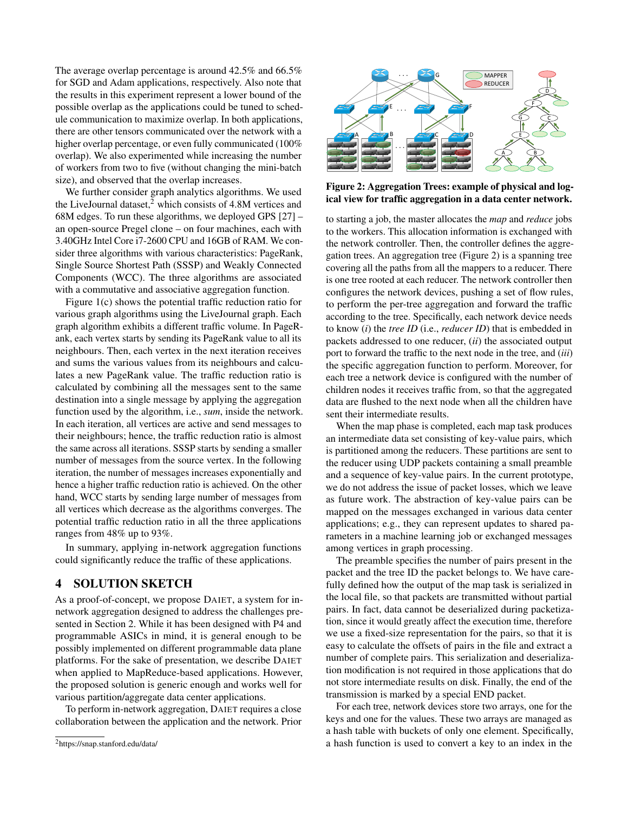The average overlap percentage is around 42.5% and 66.5% for SGD and Adam applications, respectively. Also note that the results in this experiment represent a lower bound of the possible overlap as the applications could be tuned to schedule communication to maximize overlap. In both applications, there are other tensors communicated over the network with a higher overlap percentage, or even fully communicated (100% overlap). We also experimented while increasing the number of workers from two to five (without changing the mini-batch size), and observed that the overlap increases.

We further consider graph analytics algorithms. We used the LiveJournal dataset, $^2$  which consists of 4.8M vertices and 68M edges. To run these algorithms, we deployed GPS [27] – an open-source Pregel clone – on four machines, each with 3.40GHz Intel Core i7-2600 CPU and 16GB of RAM. We consider three algorithms with various characteristics: PageRank, Single Source Shortest Path (SSSP) and Weakly Connected Components (WCC). The three algorithms are associated with a commutative and associative aggregation function.

Figure 1(c) shows the potential traffic reduction ratio for various graph algorithms using the LiveJournal graph. Each graph algorithm exhibits a different traffic volume. In PageRank, each vertex starts by sending its PageRank value to all its neighbours. Then, each vertex in the next iteration receives and sums the various values from its neighbours and calculates a new PageRank value. The traffic reduction ratio is calculated by combining all the messages sent to the same destination into a single message by applying the aggregation function used by the algorithm, i.e., *sum*, inside the network. In each iteration, all vertices are active and send messages to their neighbours; hence, the traffic reduction ratio is almost the same across all iterations. SSSP starts by sending a smaller number of messages from the source vertex. In the following iteration, the number of messages increases exponentially and hence a higher traffic reduction ratio is achieved. On the other hand, WCC starts by sending large number of messages from all vertices which decrease as the algorithms converges. The potential traffic reduction ratio in all the three applications ranges from 48% up to 93%.

In summary, applying in-network aggregation functions could significantly reduce the traffic of these applications.

# 4 SOLUTION SKETCH

As a proof-of-concept, we propose DAIET, a system for innetwork aggregation designed to address the challenges presented in Section 2. While it has been designed with P4 and programmable ASICs in mind, it is general enough to be possibly implemented on different programmable data plane platforms. For the sake of presentation, we describe DAIET when applied to MapReduce-based applications. However, the proposed solution is generic enough and works well for various partition/aggregate data center applications.

To perform in-network aggregation, DAIET requires a close collaboration between the application and the network. Prior



Figure 2: Aggregation Trees: example of physical and logical view for traffic aggregation in a data center network.

to starting a job, the master allocates the *map* and *reduce* jobs to the workers. This allocation information is exchanged with the network controller. Then, the controller defines the aggregation trees. An aggregation tree (Figure 2) is a spanning tree covering all the paths from all the mappers to a reducer. There is one tree rooted at each reducer. The network controller then configures the network devices, pushing a set of flow rules, to perform the per-tree aggregation and forward the traffic according to the tree. Specifically, each network device needs to know (*i*) the *tree ID* (i.e., *reducer ID*) that is embedded in packets addressed to one reducer, (*ii*) the associated output port to forward the traffic to the next node in the tree, and (*iii*) the specific aggregation function to perform. Moreover, for each tree a network device is configured with the number of children nodes it receives traffic from, so that the aggregated data are flushed to the next node when all the children have sent their intermediate results.

When the map phase is completed, each map task produces an intermediate data set consisting of key-value pairs, which is partitioned among the reducers. These partitions are sent to the reducer using UDP packets containing a small preamble and a sequence of key-value pairs. In the current prototype, we do not address the issue of packet losses, which we leave as future work. The abstraction of key-value pairs can be mapped on the messages exchanged in various data center applications; e.g., they can represent updates to shared parameters in a machine learning job or exchanged messages among vertices in graph processing.

The preamble specifies the number of pairs present in the packet and the tree ID the packet belongs to. We have carefully defined how the output of the map task is serialized in the local file, so that packets are transmitted without partial pairs. In fact, data cannot be deserialized during packetization, since it would greatly affect the execution time, therefore we use a fixed-size representation for the pairs, so that it is easy to calculate the offsets of pairs in the file and extract a number of complete pairs. This serialization and deserialization modification is not required in those applications that do not store intermediate results on disk. Finally, the end of the transmission is marked by a special END packet.

For each tree, network devices store two arrays, one for the keys and one for the values. These two arrays are managed as a hash table with buckets of only one element. Specifically, a hash function is used to convert a key to an index in the

<sup>2</sup><https://snap.stanford.edu/data/>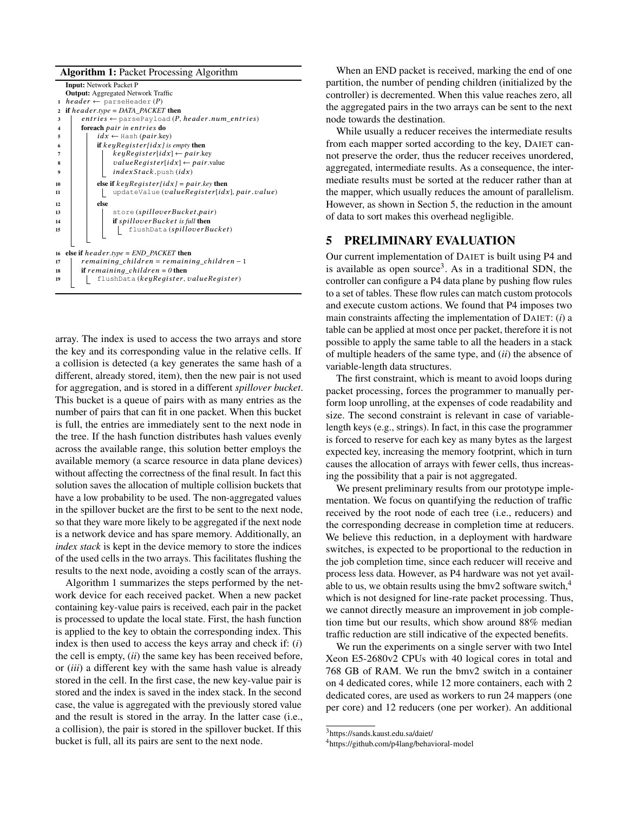| <b>Algorithm 1: Packet Processing Algorithm</b>           |
|-----------------------------------------------------------|
| <b>Input:</b> Network Packet P                            |
| <b>Output:</b> Aggregated Network Traffic                 |
| $header \leftarrow parseHeader(P)$<br>$\mathbf{1}$        |
| if $header_type = DATA$ $PACKET$ then                     |
| $entries \leftarrow parsePayload(P, header.name entries)$ |
| foreach pair in entries do                                |
| $idx \leftarrow$ Hash (pair.key)                          |
| if $keyRequesterlidx$ is empty then                       |
| $keyRequester lidx] \leftarrow pair.key$                  |
| $value Register[idx] \leftarrow pair.value$               |
| indexStack.push(idx)                                      |
|                                                           |
| else if $keyRequesterlidx]=pair-key$ then                 |
| updateValue (valueRegister[idx], pair.value)              |
| else                                                      |
| store (spilloverBucket,pair)                              |
| if spilloverBucket is full then                           |
| flushData (spilloverBucket)                               |
|                                                           |
|                                                           |
| else if $header_type = END\_PACKET$ then                  |
| $remaining\_children = remaining\_children - 1$           |
| if remaining_children = $0$ then                          |
| flushData (keyRegister, valueRegister)                    |
|                                                           |
|                                                           |

array. The index is used to access the two arrays and store the key and its corresponding value in the relative cells. If a collision is detected (a key generates the same hash of a different, already stored, item), then the new pair is not used for aggregation, and is stored in a different *spillover bucket*. This bucket is a queue of pairs with as many entries as the number of pairs that can fit in one packet. When this bucket is full, the entries are immediately sent to the next node in the tree. If the hash function distributes hash values evenly across the available range, this solution better employs the available memory (a scarce resource in data plane devices) without affecting the correctness of the final result. In fact this solution saves the allocation of multiple collision buckets that have a low probability to be used. The non-aggregated values in the spillover bucket are the first to be sent to the next node, so that they ware more likely to be aggregated if the next node is a network device and has spare memory. Additionally, an *index stack* is kept in the device memory to store the indices of the used cells in the two arrays. This facilitates flushing the results to the next node, avoiding a costly scan of the arrays.

Algorithm 1 summarizes the steps performed by the network device for each received packet. When a new packet containing key-value pairs is received, each pair in the packet is processed to update the local state. First, the hash function is applied to the key to obtain the corresponding index. This index is then used to access the keys array and check if: (*i*) the cell is empty, (*ii*) the same key has been received before, or (*iii*) a different key with the same hash value is already stored in the cell. In the first case, the new key-value pair is stored and the index is saved in the index stack. In the second case, the value is aggregated with the previously stored value and the result is stored in the array. In the latter case (i.e., a collision), the pair is stored in the spillover bucket. If this bucket is full, all its pairs are sent to the next node.

When an END packet is received, marking the end of one partition, the number of pending children (initialized by the controller) is decremented. When this value reaches zero, all the aggregated pairs in the two arrays can be sent to the next node towards the destination.

While usually a reducer receives the intermediate results from each mapper sorted according to the key, DAIET cannot preserve the order, thus the reducer receives unordered, aggregated, intermediate results. As a consequence, the intermediate results must be sorted at the reducer rather than at the mapper, which usually reduces the amount of parallelism. However, as shown in Section 5, the reduction in the amount of data to sort makes this overhead negligible.

#### 5 PRELIMINARY EVALUATION

Our current implementation of DAIET is built using P4 and is available as open source<sup>3</sup>. As in a traditional SDN, the controller can configure a P4 data plane by pushing flow rules to a set of tables. These flow rules can match custom protocols and execute custom actions. We found that P4 imposes two main constraints affecting the implementation of DAIET: (*i*) a table can be applied at most once per packet, therefore it is not possible to apply the same table to all the headers in a stack of multiple headers of the same type, and (*ii*) the absence of variable-length data structures.

The first constraint, which is meant to avoid loops during packet processing, forces the programmer to manually perform loop unrolling, at the expenses of code readability and size. The second constraint is relevant in case of variablelength keys (e.g., strings). In fact, in this case the programmer is forced to reserve for each key as many bytes as the largest expected key, increasing the memory footprint, which in turn causes the allocation of arrays with fewer cells, thus increasing the possibility that a pair is not aggregated.

We present preliminary results from our prototype implementation. We focus on quantifying the reduction of traffic received by the root node of each tree (i.e., reducers) and the corresponding decrease in completion time at reducers. We believe this reduction, in a deployment with hardware switches, is expected to be proportional to the reduction in the job completion time, since each reducer will receive and process less data. However, as P4 hardware was not yet available to us, we obtain results using the bmv2 software switch, $4$ which is not designed for line-rate packet processing. Thus, we cannot directly measure an improvement in job completion time but our results, which show around 88% median traffic reduction are still indicative of the expected benefits.

We run the experiments on a single server with two Intel Xeon E5-2680v2 CPUs with 40 logical cores in total and 768 GB of RAM. We run the bmv2 switch in a container on 4 dedicated cores, while 12 more containers, each with 2 dedicated cores, are used as workers to run 24 mappers (one per core) and 12 reducers (one per worker). An additional

<sup>3</sup><https://sands.kaust.edu.sa/daiet/>

<sup>4</sup><https://github.com/p4lang/behavioral-model>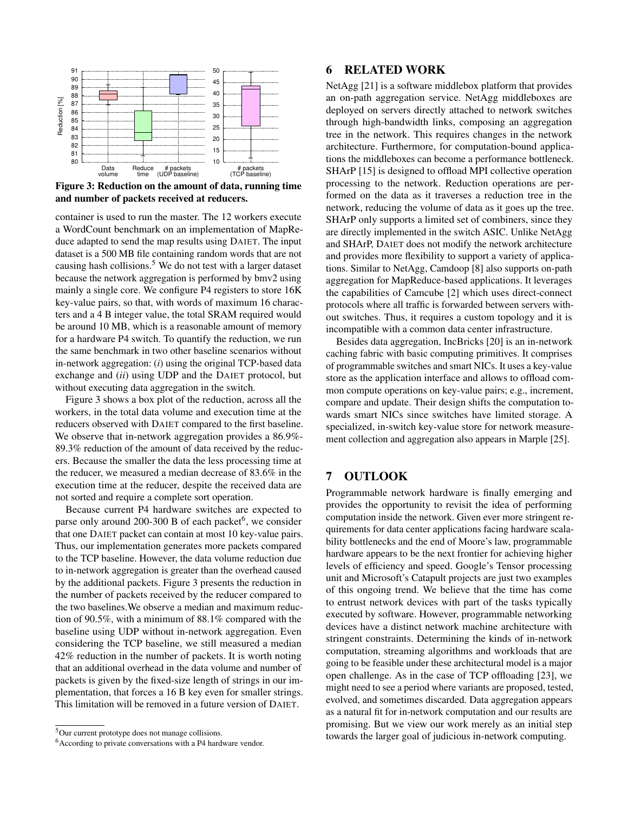

Figure 3: Reduction on the amount of data, running time and number of packets received at reducers.

container is used to run the master. The 12 workers execute a WordCount benchmark on an implementation of MapReduce adapted to send the map results using DAIET. The input dataset is a 500 MB file containing random words that are not causing hash collisions.5 We do not test with a larger dataset because the network aggregation is performed by bmv2 using mainly a single core. We configure P4 registers to store 16K key-value pairs, so that, with words of maximum 16 characters and a 4 B integer value, the total SRAM required would be around 10 MB, which is a reasonable amount of memory for a hardware P4 switch. To quantify the reduction, we run the same benchmark in two other baseline scenarios without in-network aggregation: (*i*) using the original TCP-based data exchange and (*ii*) using UDP and the DAIET protocol, but without executing data aggregation in the switch.

Figure 3 shows a box plot of the reduction, across all the workers, in the total data volume and execution time at the reducers observed with DAIET compared to the first baseline. We observe that in-network aggregation provides a 86.9%-89.3% reduction of the amount of data received by the reducers. Because the smaller the data the less processing time at the reducer, we measured a median decrease of 83.6% in the execution time at the reducer, despite the received data are not sorted and require a complete sort operation.

Because current P4 hardware switches are expected to parse only around 200-300 B of each packet<sup>6</sup>, we consider that one DAIET packet can contain at most 10 key-value pairs. Thus, our implementation generates more packets compared to the TCP baseline. However, the data volume reduction due to in-network aggregation is greater than the overhead caused by the additional packets. Figure 3 presents the reduction in the number of packets received by the reducer compared to the two baselines.We observe a median and maximum reduction of 90.5%, with a minimum of 88.1% compared with the baseline using UDP without in-network aggregation. Even considering the TCP baseline, we still measured a median 42% reduction in the number of packets. It is worth noting that an additional overhead in the data volume and number of packets is given by the fixed-size length of strings in our implementation, that forces a 16 B key even for smaller strings. This limitation will be removed in a future version of DAIET.

### 6 RELATED WORK

NetAgg [21] is a software middlebox platform that provides an on-path aggregation service. NetAgg middleboxes are deployed on servers directly attached to network switches through high-bandwidth links, composing an aggregation tree in the network. This requires changes in the network architecture. Furthermore, for computation-bound applications the middleboxes can become a performance bottleneck. SHArP [15] is designed to offload MPI collective operation processing to the network. Reduction operations are performed on the data as it traverses a reduction tree in the network, reducing the volume of data as it goes up the tree. SHArP only supports a limited set of combiners, since they are directly implemented in the switch ASIC. Unlike NetAgg and SHArP, DAIET does not modify the network architecture and provides more flexibility to support a variety of applications. Similar to NetAgg, Camdoop [8] also supports on-path aggregation for MapReduce-based applications. It leverages the capabilities of Camcube [2] which uses direct-connect protocols where all traffic is forwarded between servers without switches. Thus, it requires a custom topology and it is incompatible with a common data center infrastructure.

Besides data aggregation, IncBricks [20] is an in-network caching fabric with basic computing primitives. It comprises of programmable switches and smart NICs. It uses a key-value store as the application interface and allows to offload common compute operations on key-value pairs; e.g., increment, compare and update. Their design shifts the computation towards smart NICs since switches have limited storage. A specialized, in-switch key-value store for network measurement collection and aggregation also appears in Marple [25].

# 7 OUTLOOK

Programmable network hardware is finally emerging and provides the opportunity to revisit the idea of performing computation inside the network. Given ever more stringent requirements for data center applications facing hardware scalability bottlenecks and the end of Moore's law, programmable hardware appears to be the next frontier for achieving higher levels of efficiency and speed. Google's Tensor processing unit and Microsoft's Catapult projects are just two examples of this ongoing trend. We believe that the time has come to entrust network devices with part of the tasks typically executed by software. However, programmable networking devices have a distinct network machine architecture with stringent constraints. Determining the kinds of in-network computation, streaming algorithms and workloads that are going to be feasible under these architectural model is a major open challenge. As in the case of TCP offloading [23], we might need to see a period where variants are proposed, tested, evolved, and sometimes discarded. Data aggregation appears as a natural fit for in-network computation and our results are promising. But we view our work merely as an initial step towards the larger goal of judicious in-network computing.

<sup>5</sup>Our current prototype does not manage collisions.

<sup>&</sup>lt;sup>6</sup> According to private conversations with a P4 hardware vendor.